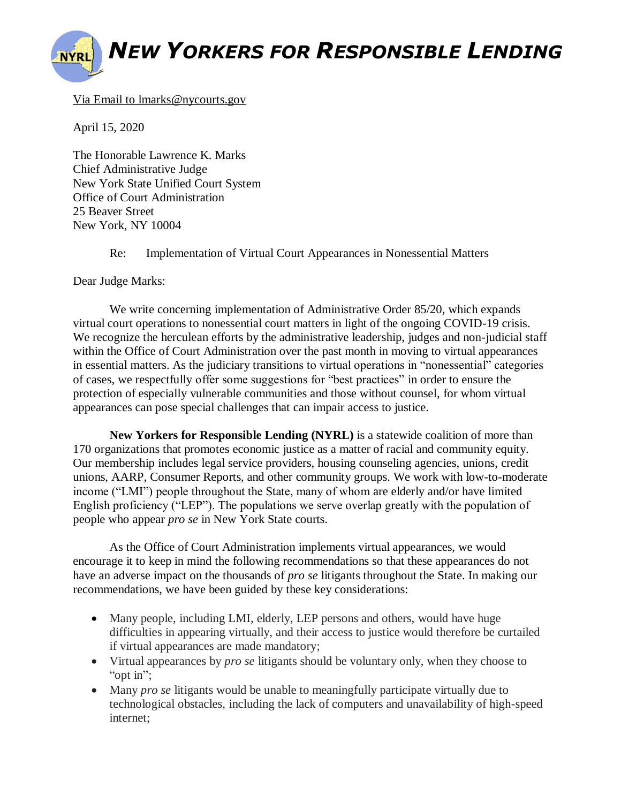## *NEW YORKERS FOR RESPONSIBLE LENDING*

## Via Email to lmarks@nycourts.gov

April 15, 2020

The Honorable Lawrence K. Marks Chief Administrative Judge New York State Unified Court System Office of Court Administration 25 Beaver Street New York, NY 10004

Re: Implementation of Virtual Court Appearances in Nonessential Matters

Dear Judge Marks:

We write concerning implementation of Administrative Order 85/20, which expands virtual court operations to nonessential court matters in light of the ongoing COVID-19 crisis. We recognize the herculean efforts by the administrative leadership, judges and non-judicial staff within the Office of Court Administration over the past month in moving to virtual appearances in essential matters. As the judiciary transitions to virtual operations in "nonessential" categories of cases, we respectfully offer some suggestions for "best practices" in order to ensure the protection of especially vulnerable communities and those without counsel, for whom virtual appearances can pose special challenges that can impair access to justice.

**New Yorkers for Responsible Lending (NYRL)** is a statewide coalition of more than 170 organizations that promotes economic justice as a matter of racial and community equity. Our membership includes legal service providers, housing counseling agencies, unions, credit unions, AARP, Consumer Reports, and other community groups. We work with low-to-moderate income ("LMI") people throughout the State, many of whom are elderly and/or have limited English proficiency ("LEP"). The populations we serve overlap greatly with the population of people who appear *pro se* in New York State courts.

As the Office of Court Administration implements virtual appearances, we would encourage it to keep in mind the following recommendations so that these appearances do not have an adverse impact on the thousands of *pro se* litigants throughout the State. In making our recommendations, we have been guided by these key considerations:

- Many people, including LMI, elderly, LEP persons and others, would have huge difficulties in appearing virtually, and their access to justice would therefore be curtailed if virtual appearances are made mandatory;
- Virtual appearances by *pro se* litigants should be voluntary only, when they choose to "opt in";
- Many *pro se* litigants would be unable to meaningfully participate virtually due to technological obstacles, including the lack of computers and unavailability of high-speed internet;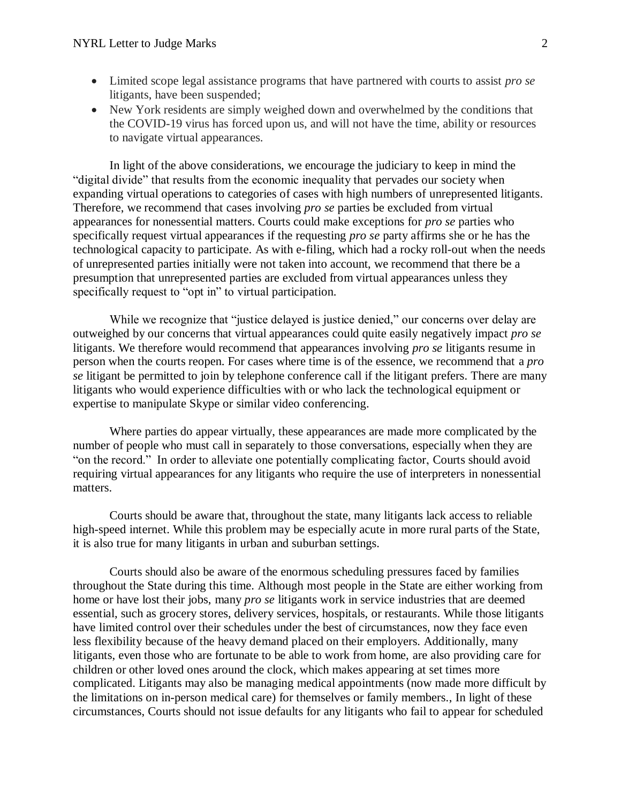- Limited scope legal assistance programs that have partnered with courts to assist *pro se* litigants, have been suspended;
- New York residents are simply weighed down and overwhelmed by the conditions that the COVID-19 virus has forced upon us, and will not have the time, ability or resources to navigate virtual appearances.

In light of the above considerations, we encourage the judiciary to keep in mind the "digital divide" that results from the economic inequality that pervades our society when expanding virtual operations to categories of cases with high numbers of unrepresented litigants. Therefore, we recommend that cases involving *pro se* parties be excluded from virtual appearances for nonessential matters. Courts could make exceptions for *pro se* parties who specifically request virtual appearances if the requesting *pro se* party affirms she or he has the technological capacity to participate. As with e-filing, which had a rocky roll-out when the needs of unrepresented parties initially were not taken into account, we recommend that there be a presumption that unrepresented parties are excluded from virtual appearances unless they specifically request to "opt in" to virtual participation.

While we recognize that "justice delayed is justice denied," our concerns over delay are outweighed by our concerns that virtual appearances could quite easily negatively impact *pro se* litigants. We therefore would recommend that appearances involving *pro se* litigants resume in person when the courts reopen. For cases where time is of the essence, we recommend that a *pro se* litigant be permitted to join by telephone conference call if the litigant prefers. There are many litigants who would experience difficulties with or who lack the technological equipment or expertise to manipulate Skype or similar video conferencing.

Where parties do appear virtually, these appearances are made more complicated by the number of people who must call in separately to those conversations, especially when they are "on the record." In order to alleviate one potentially complicating factor, Courts should avoid requiring virtual appearances for any litigants who require the use of interpreters in nonessential matters.

Courts should be aware that, throughout the state, many litigants lack access to reliable high-speed internet. While this problem may be especially acute in more rural parts of the State, it is also true for many litigants in urban and suburban settings.

Courts should also be aware of the enormous scheduling pressures faced by families throughout the State during this time. Although most people in the State are either working from home or have lost their jobs, many *pro se* litigants work in service industries that are deemed essential, such as grocery stores, delivery services, hospitals, or restaurants. While those litigants have limited control over their schedules under the best of circumstances, now they face even less flexibility because of the heavy demand placed on their employers. Additionally, many litigants, even those who are fortunate to be able to work from home, are also providing care for children or other loved ones around the clock, which makes appearing at set times more complicated. Litigants may also be managing medical appointments (now made more difficult by the limitations on in-person medical care) for themselves or family members., In light of these circumstances, Courts should not issue defaults for any litigants who fail to appear for scheduled